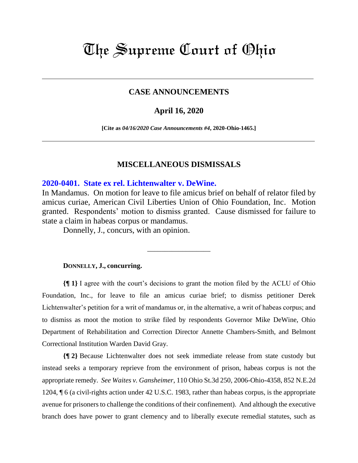# The Supreme Court of Ohio

## **CASE ANNOUNCEMENTS**

#### **April 16, 2020**

**[Cite as** *04/16/2020 Case Announcements #4***, 2020-Ohio-1465.]**

### **MISCELLANEOUS DISMISSALS**

#### **[2020-0401. State ex rel. Lichtenwalter v. DeWine.](https://www.supremecourt.ohio.gov/Clerk/ecms/#/caseinfo/2020/0401)**

In Mandamus. On motion for leave to file amicus brief on behalf of relator filed by amicus curiae, American Civil Liberties Union of Ohio Foundation, Inc. Motion granted. Respondents' motion to dismiss granted. Cause dismissed for failure to state a claim in habeas corpus or mandamus.

\_\_\_\_\_\_\_\_\_\_\_\_\_\_\_\_\_\_

Donnelly, J., concurs, with an opinion.

#### **DONNELLY, J., concurring.**

**{¶ 1}** I agree with the court's decisions to grant the motion filed by the ACLU of Ohio Foundation, Inc., for leave to file an amicus curiae brief; to dismiss petitioner Derek Lichtenwalter's petition for a writ of mandamus or, in the alternative, a writ of habeas corpus; and to dismiss as moot the motion to strike filed by respondents Governor Mike DeWine, Ohio Department of Rehabilitation and Correction Director Annette Chambers-Smith, and Belmont Correctional Institution Warden David Gray.

**{¶ 2}** Because Lichtenwalter does not seek immediate release from state custody but instead seeks a temporary reprieve from the environment of prison, habeas corpus is not the appropriate remedy. *See Waites v. Gansheimer*, 110 Ohio St.3d 250, 2006-Ohio-4358, 852 N.E.2d 1204, ¶ 6 (a civil-rights action under 42 U.S.C. 1983, rather than habeas corpus, is the appropriate avenue for prisoners to challenge the conditions of their confinement). And although the executive branch does have power to grant clemency and to liberally execute remedial statutes, such as